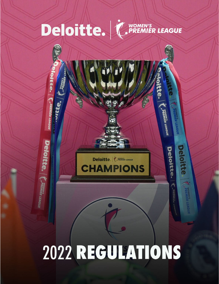

# 2022 REGULATIONS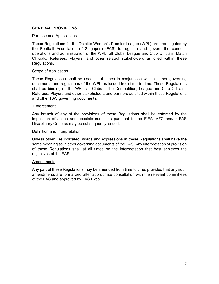# **GENERAL PROVISIONS**

### Purpose and Applications

These Regulations for the Deloitte Women's Premier League (WPL) are promulgated by the Football Association of Singapore (FAS) to regulate and govern the conduct, operations and administration of the WPL, all Clubs, League and Club Officials, Match Officials, Referees, Players, and other related stakeholders as cited within these Regulations.

### Scope of Application

These Regulations shall be used at all times in conjunction with all other governing documents and regulations of the WPL as issued from time to time. These Regulations shall be binding on the WPL, all Clubs in the Competition, League and Club Officials, Referees, Players and other stakeholders and partners as cited within these Regulations and other FAS governing documents.

### **Enforcement**

Any breach of any of the provisions of these Regulations shall be enforced by the imposition of action and possible sanctions pursuant to the FIFA, AFC and/or FAS Disciplinary Code as may be subsequently issued.

### Definition and Interpretation

Unless otherwise indicated, words and expressions in these Regulations shall have the same meaning as in other governing documents of the FAS. Any interpretation of provision of these Regulations shall at all times be the interpretation that best achieves the objectives of the FAS.

### Amendments

Any part of these Regulations may be amended from time to time, provided that any such amendments are formalized after appropriate consultation with the relevant committees of the FAS and approved by FAS Exco.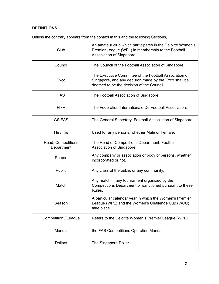# **DEFINITIONS**

Unless the contrary appears from the context in this and the following Sections,

| Club                             | An amateur club which participates in the Deloitte Women's<br>Premier League (WPL) in membership to the Football<br>Association of Singapore.                |
|----------------------------------|--------------------------------------------------------------------------------------------------------------------------------------------------------------|
| Council                          | The Council of the Football Association of Singapore.                                                                                                        |
| Exco                             | The Executive Committee of the Football Association of<br>Singapore, and any decision made by the Exco shall be<br>deemed to be the decision of the Council. |
| <b>FAS</b>                       | The Football Association of Singapore.                                                                                                                       |
| <b>FIFA</b>                      | The Federation Internationale De Football Association.                                                                                                       |
| <b>GS FAS</b>                    | The General Secretary, Football Association of Singapore.                                                                                                    |
| He / His                         | Used for any persons, whether Male or Female.                                                                                                                |
| Head, Competitions<br>Department | The Head of Competitions Department, Football<br>Association of Singapore.                                                                                   |
| Person                           | Any company or association or body of persons, whether<br>incorporated or not.                                                                               |
| Public                           | Any class of the public or any community.                                                                                                                    |
| Match                            | Any match in any tournament organized by the<br>Competitions Department or sanctioned pursuant to these<br>Rules.                                            |
| Season                           | A particular calendar year in which the Women's Premier<br>League (WPL) and the Women's Challenge Cup (WCC)<br>take place.                                   |
| Competition / League             | Refers to the Deloitte Women's Premier League (WPL).                                                                                                         |
| Manual                           | the FAS Competitions Operation Manual.                                                                                                                       |
| <b>Dollars</b>                   | The Singapore Dollar.                                                                                                                                        |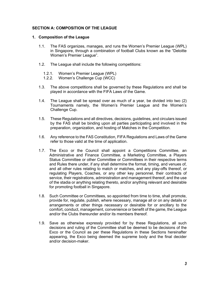# **SECTION A: COMPOSITION OF THE LEAGUE**

### **1. Composition of the League**

- 1.1. The FAS organizes, manages, and runs the Women's Premier League (WPL) in Singapore, through a combination of football Clubs known as the "Deloitte Women's Premier League".
- 1.2. The League shall include the following competitions:
	- 1.2.1. Women's Premier League (WPL)
	- 1.2.2. Women's Challenge Cup (WCC)
- 1.3. The above competitions shall be governed by these Regulations and shall be played in accordance with the FIFA Laws of the Game.
- 1.4. The League shall be spread over as much of a year, be divided into two (2) Tournaments namely, the Women's Premier League and the Women's Challenge Cup.
- 1.5. These Regulations and all directives, decisions, guidelines, and circulars issued by the FAS shall be binding upon all parties participating and involved in the preparation, organization, and hosting of Matches in the Competition.
- 1.6. Any reference to the FAS Constitution, FIFA Regulations and Laws of the Game refer to those valid at the time of application.
- 1.7. The Exco or the Council shall appoint a Competitions Committee, an Administrative and Finance Committee, a Marketing Committee, a Players Status Committee or other Committee or Committees in their respective terms and Rules there under, if any shall determine the format, timing, and venues of, and all other rules relating to match or matches, and any play-offs thereof, or regulating Players, Coaches, or any other key personnel, their contracts of service, their registrations, administration and management thereof, and the use of the stadia or anything relating thereto, and/or anything relevant and desirable for promoting football in Singapore.
- 1.8. Such Committee or Committees, so appointed from time to time, shall promote, provide for, regulate, publish, where necessary, manage all or on any details or arrangements or other things necessary or desirable for or ancillary to the comfort, conduct, management, convenience or benefit of the game, the League and/or the Clubs thereunder and/or its members thereof.
- 1.9. Save as otherwise expressly provided for by these Regulations, all such decisions and ruling of the Committee shall be deemed to be decisions of the Exco or the Council as per these Regulations in these Sections hereinafter appearing, the Exco being deemed the supreme body and the final decider and/or decision-maker.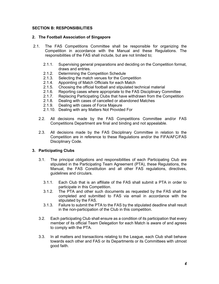# **SECTION B: RESPONSIBILITIES**

### **2. The Football Association of Singapore**

- 2.1. The FAS Competitions Committee shall be responsible for organizing the Competition in accordance with the Manual and these Regulations. The responsibilities of the FAS shall include, but are not limited to;
	- 2.1.1. Supervising general preparations and deciding on the Competition format, draws and entries.
	-
	- 2.1.2. Determining the Competition Schedule<br>2.1.3. Selecting the match venues for the Con Selecting the match venues for the Competition
	- 2.1.4. Appointing of Match Officials for each Match<br>2.1.5. Choosing the official football and stipulated to
	- 2.1.5. Choosing the official football and stipulated technical material
	- 2.1.6. Reporting cases where appropriate to the FAS Disciplinary Committee
	- 2.1.7. Replacing Participating Clubs that have withdrawn from the Competition 2.1.8. Dealing with cases of cancelled or abandoned Matches
	- Dealing with cases of cancelled or abandoned Matches
	- 2.1.9. Dealing with cases of Force Majeure
	- 2.1.10. Dealing with any Matters Not Provided For
	- 2.2. All decisions made by the FAS Competitions Committee and/or FAS Competitions Department are final and binding and not appealable.
	- 2.3. All decisions made by the FAS Disciplinary Committee in relation to the Competition are in reference to these Regulations and/or the FIFA/AFC/FAS Disciplinary Code.

# **3. Participating Clubs**

- 3.1. The principal obligations and responsibilities of each Participating Club are stipulated in the Participating Team Agreement (PTA), these Regulations, the Manual, the FAS Constitution and all other FAS regulations, directives, guidelines and circulars.
	- 3.1.1. Each Club that is an affiliate of the FAS shall submit a PTA in order to participate in this Competition.
	- 3.1.2. The PTA and other such documents as requested by the FAS shall be completed and submitted to FAS via email in accordance with the stipulated by the FAS.
	- 3.1.3. Failure to submit the PTA to the FAS by the stipulated deadline shall result in the non-participation of the Club in this competition.
- 3.2. Each participating Club shall ensure as a condition of its participation that every member of its official Team Delegation for each Match is aware of and agrees to comply with the PTA.
- 3.3. In all matters and transactions relating to the League, each Club shall behave towards each other and FAS or its Departments or its Committees with utmost good faith.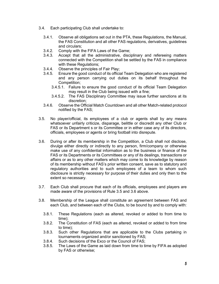- 3.4. Each participating Club shall undertake to:
	- 3.4.1. Observe all obligations set out in the PTA, these Regulations, the Manual, the FAS Constitution and all other FAS regulations, derivatives, guidelines and circulars;
	- 3.4.2. Comply with the FIFA Laws of the Game;
	- 3.4.3. Accept that all the administrative, disciplinary and refereeing matters connected with the Competition shall be settled by the FAS in compliance with these Regulations;
	- 3.4.4. Observe the principles of Fair Play;<br>3.4.5. Ensure the good conduct of its officia
	- 3.4.5. Ensure the good conduct of its official Team Delegation who are registered and any person carrying out duties on its behalf throughout the Competition;
		- 3.4.5.1. Failure to ensure the good conduct of its official Team Delegation may result in the Club being issued with a fine;
		- 3.4.5.2. The FAS Disciplinary Committee may issue further sanctions at its discretion;
	- 3.4.6. Observe the Official Match Countdown and all other Match-related protocol notified by the FAS;
- 3.5. No player/official, its employees of a club or agents shall by any means whatsoever unfairly criticize, disparage, belittle or discredit any other Club or FAS or its Department s or its Committee or in either case any of its directors, officials, employees or agents or bring football into disrepute.
- 3.6. During or after its membership in the Competition, a Club shall not disclose, divulge either directly or indirectly to any person, firm/company or otherwise make use of any confidential information as to the business or finance of the FAS or its Departments or its Committees or any of its dealings, transactions or affairs or as to any other matters which may come to its knowledge by reason of its membership without FAS's prior written consent, save as to statutory and regulatory authorities and to such employees of a team to whom such disclosure is strictly necessary for purpose of their duties and only then to the extent so necessary.
- 3.7. Each Club shall procure that each of its officials, employees and players are made aware of the provisions of Rule 3.5 and 3.6 above.
- 3.8. Membership of the League shall constitute an agreement between FAS and each Club, and between each of the Clubs, to be bound by and to comply with:
	- 3.8.1. These Regulations (each as altered, revoked or added to from time to time);
	- 3.8.2. The Constitution of FAS (each as altered, revoked or added to from time to time);
	- 3.8.3. Such other Regulations that are applicable to the Clubs partaking in tournaments organized and/or sanctioned by FAS;
	- 3.8.4. Such decisions of the Exco or the Council of FAS;
	- 3.8.5. The Laws of the Game as laid down from time to time by FIFA as adopted by FAS or otherwise;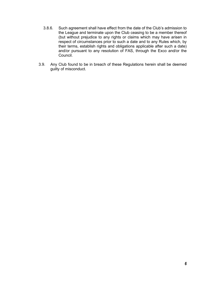- 3.8.6. Such agreement shall have effect from the date of the Club's admission to the League and terminate upon the Club ceasing to be a member thereof (but without prejudice to any rights or claims which may have arisen in respect of circumstances prior to such a date and to any Rules which, by their terms, establish rights and obligations applicable after such a date) and/or pursuant to any resolution of FAS, through the Exco and/or the Council.
- 3.9. Any Club found to be in breach of these Regulations herein shall be deemed guilty of misconduct.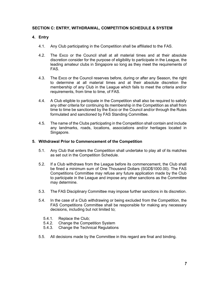# **SECTION C: ENTRY, WITHDRAWAL, COMPETITION SCHEDULE & SYSTEM**

# **4. Entry**

- 4.1. Any Club participating in the Competition shall be affiliated to the FAS.
- 4.2. The Exco or the Council shall at all material times and at their absolute discretion consider for the purpose of eligibility to participate in the League, the leading amateur clubs in Singapore so long as they meet the requirements of FAS.
- 4.3. The Exco or the Council reserves before, during or after any Season, the right to determine at all material times and at their absolute discretion the membership of any Club in the League which fails to meet the criteria and/or requirements, from time to time, of FAS.
- 4.4. A Club eligible to participate in the Competition shall also be required to satisfy any other criteria for continuing its membership in the Competition as shall from time to time be sanctioned by the Exco or the Council and/or through the Rules formulated and sanctioned by FAS Standing Committee.
- 4.5. The name of the Clubs participating in the Competition shall contain and include any landmarks, roads, locations, associations and/or heritages located in Singapore.

### **5. Withdrawal Prior to Commencement of the Competition**

- 5.1. Any Club that enters the Competition shall undertake to play all of its matches as set out in the Competition Schedule.
- 5.2. If a Club withdraws from the League before its commencement, the Club shall be fined a minimum sum of One Thousand Dollars (SGD\$1000.00). The FAS Competitions Committee may refuse any future application made by the Club to participate in the League and impose any other sanctions as the Committee may determine.
- 5.3. The FAS Disciplinary Committee may impose further sanctions in its discretion.
- 5.4. In the case of a Club withdrawing or being excluded from the Competition, the FAS Competitions Committee shall be responsible for making any necessary decisions, including but not limited to;
	- 5.4.1. Replace the Club;<br>5.4.2. Change the Comp
	- 5.4.2. Change the Competition System
	- 5.4.3. Change the Technical Regulations
- 5.5. All decisions made by the Committee in this regard are final and binding.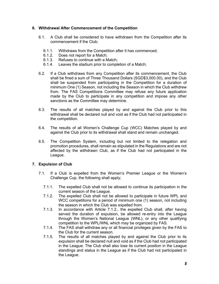# **6. Withdrawal After Commencement of the Competition**

- 6.1. A Club shall be considered to have withdrawn from the Competition after its commencement if the Club;
	- 6.1.1. Withdraws from the Competition after it has commenced;<br>6.1.2. Does not report for a Match;
	- Does not report for a Match;
	- 6.1.3. Refuses to continue with a Match;
	- 6.1.4. Leaves the stadium prior to completion of a Match;
- 6.2. If a Club withdraws from any Competition after its commencement, the Club shall be fined a sum of Three Thousand Dollars (SGD\$3,000.00), and the Club shall be suspended from participating in the Competition for a duration of minimum One (1) Season, not including the Season in which the Club withdrew from. The FAS Competitions Committee may refuse any future application made by the Club to participate in any competition and impose any other sanctions as the Committee may determine.
- 6.3. The results of all matches played by and against the Club prior to this withdrawal shall be declared null and void as if the Club had not participated in the competition.
- 6.4. The results of all Women's Challenge Cup (WCC) Matches played by and against the Club prior to its withdrawal shall stand and remain unchanged.
- 6.5. The Competition System, including but not limited to the relegation and promotion procedures, shall remain as stipulated in the Regulations and are not affected by the withdrawn Club, as if the Club had not participated in the League.

# **7. Expulsion of Club**

- 7.1. If a Club is expelled from the Women's Premier League or the Women's Challenge Cup, the following shall apply;
	- 7.1.1. The expelled Club shall not be allowed to continue its participation in the current season of the League.
	- 7.1.2. The expelled Club shall not be allowed to participate in future WPL and WCC competitions for a period of minimum one (1) season, not including the season in which the Club was expelled from.
	- 7.1.3. In accordance with Article 7.1.2., the expelled Club shall, after having served the duration of expulsion, be allowed re-entry into the League through the Women's National League (WNL), or any other qualifying competition to the WPL/WNL which may be organized by FAS.
	- 7.1.4. The FAS shall withdraw any or all financial privileges given by the FAS to the Club for the current season.
	- 7.1.5. The results of all matches played by and against the Club prior to its expulsion shall be declared null and void as if the Club had not participated in the League. The Club shall also lose its current position in the League standings and status in the League as if the Club had not participated in the League.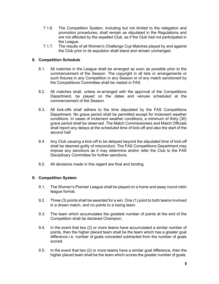- 7.1.6. The Competition System, including but not limited to the relegation and promotion procedures, shall remain as stipulated in the Regulations and are not affected by the expelled Club, as if the Club had not participated in the League.
- 7.1.7. The results of all Women's Challenge Cup Matches played by and against the Club prior to its expulsion shall stand and remain unchanged.

# **8. Competition Schedule**

- 8.1. All matches in the League shall be arranged as soon as possible prior to the commencement of the Season. The copyright in all lists or arrangements or such fixtures in any Competition in any Season or of any match sanctioned by the Competitions Committee shall be vested in FAS.
- 8.2. All matches shall, unless re-arranged with the approval of the Competitions Department, be played on the dates and venues scheduled at the commencement of the Season.
- 8.3. All kick-offs shall adhere to the time stipulated by the FAS Competitions Department. No grace period shall be permitted except for inclement weather conditions. In cases of inclement weather conditions, a minimum of thirty (30) grace period shall be observed. The Match Commissioners and Match Officials shall report any delays at the scheduled time of kick-off and also the start of the second half.
- 8.4. Any Club causing a kick-off to be delayed beyond the stipulated time of kick-off shall be deemed guilty of misconduct. The FAS Competitions Department may impose any sanctions as it may determine and/or refer the Club to the FAS Disciplinary Committee for further sanctions.
- 8.5. All decisions made in this regard are final and binding.

# **9. Competition System**

- 9.1. The Women's Premier League shall be played on a home and away round robin league format.
- 9.2. Three (3) points shall be awarded for a win. One (1) point to both teams involved in a drawn match, and no points to a losing team.
- 9.3. The team which accumulates the greatest number of points at the end of the Competition shall be declared Champion.
- 9.4. In the event that two (2) or more teams have accumulated a similar number of points, then the higher placed team shall be the team which has a greater goal difference i.e. number of goals conceded subtracted from the number of goals scored.
- 9.5. In the event that two (2) or more teams have a similar goal difference, then the higher placed team shall be the team which scores the greater number of goals.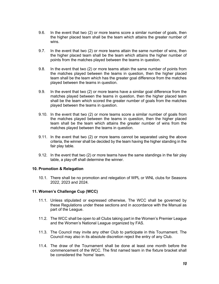- 9.6. In the event that two (2) or more teams score a similar number of goals, then the higher placed team shall be the team which attains the greater number of wins.
- 9.7. In the event that two (2) or more teams attain the same number of wins, then the higher placed team shall be the team which attains the higher number of points from the matches played between the teams in question.
- 9.8. In the event that two (2) or more teams attain the same number of points from the matches played between the teams in question, then the higher placed team shall be the team which has the greater goal difference from the matches played between the teams in question.
- 9.9. In the event that two (2) or more teams have a similar goal difference from the matches played between the teams in question, then the higher placed team shall be the team which scored the greater number of goals from the matches played between the teams in question.
- 9.10. In the event that two (2) or more teams score a similar number of goals from the matches played between the teams in question, then the higher placed team shall be the team which attains the greater number of wins from the matches played between the teams in question.
- 9.11. In the event that two (2) or more teams cannot be separated using the above criteria, the winner shall be decided by the team having the higher standing in the fair play table.
- 9.12. In the event that two (2) or more teams have the same standings in the fair play table, a play-off shall determine the winner.

# **10. Promotion & Relegation**

10.1. There shall be no promotion and relegation of WPL or WNL clubs for Seasons 2022, 2023 and 2024.

# **11. Women's Challenge Cup (WCC)**

- 11.1. Unless stipulated or expressed otherwise, The WCC shall be governed by these Regulations under these sections and in accordance with the Manual as part of the League.
- 11.2. The WCC shall be open to all Clubs taking part in the Women's Premier League and the Women's National League organized by FAS.
- 11.3. The Council may invite any other Club to participate in this Tournament. The Council may also in its absolute discretion reject the entry of any Club.
- 11.4. The draw of the Tournament shall be done at least one month before the commencement of the WCC. The first named team in the fixture bracket shall be considered the 'home' team.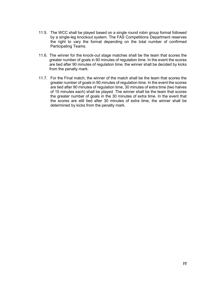- 11.5. The WCC shall be played based on a single round robin group format followed by a single-leg knockout system. The FAS Competitions Department reserves the right to vary the format depending on the total number of confirmed Participating Teams.
- 11.6. The winner for the knock-out stage matches shall be the team that scores the greater number of goals in 90 minutes of regulation time. In the event the scores are tied after 90 minutes of regulation time, the winner shall be decided by kicks from the penalty mark.
- 11.7. For the Final match, the winner of the match shall be the team that scores the greater number of goals in 90 minutes of regulation time. In the event the scores are tied after 90 minutes of regulation time, 30 minutes of extra time (two halves of 15 minutes each) shall be played. The winner shall be the team that scores the greater number of goals in the 30 minutes of extra time. In the event that the scores are still tied after 30 minutes of extra time, the winner shall be determined by kicks from the penalty mark.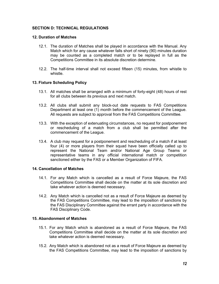# **SECTION D: TECHNICAL REGULATIONS**

### **12. Duration of Matches**

- 12.1. The duration of Matches shall be played in accordance with the Manual. Any Match which for any cause whatever falls short of ninety (90) minutes duration may be counted as a completed match or to be replayed in full as the Competitions Committee in its absolute discretion determine.
- 12.2. The half-time interval shall not exceed fifteen (15) minutes, from whistle to whistle.

### **13. Fixture Scheduling Policy**

- 13.1. All matches shall be arranged with a minimum of forty-eight (48) hours of rest for all clubs between its previous and next match.
- 13.2. All clubs shall submit any block-out date requests to FAS Competitions Department at least one (1) month before the commencement of the League. All requests are subject to approval from the FAS Competitions Committee.
- 13.3. With the exception of extenuating circumstances, no request for postponement or rescheduling of a match from a club shall be permitted after the commencement of the League.
- 13.4. A club may request for a postponement and rescheduling of a match if at least four (4) or more players from their squad have been officially called up to represent the National Team and/or National Age Group Teams or representative teams in any official international match or competition sanctioned either by the FAS or a Member Organization of FIFA.

# **14. Cancellation of Matches**

- 14.1. For any Match which is cancelled as a result of Force Majeure, the FAS Competitions Committee shall decide on the matter at its sole discretion and take whatever action is deemed necessary.
- 14.2. Any Match which is cancelled not as a result of Force Majeure as deemed by the FAS Competitions Committee, may lead to the imposition of sanctions by the FAS Disciplinary Committee against the errant party in accordance with the FAS Disciplinary Code.

# **15. Abandonment of Matches**

- 15.1. For any Match which is abandoned as a result of Force Majeure, the FAS Competitions Committee shall decide on the matter at its sole discretion and take whatever action is deemed necessary.
- 15.2. Any Match which is abandoned not as a result of Force Majeure as deemed by the FAS Competitions Committee, may lead to the imposition of sanctions by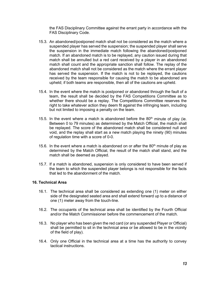the FAS Disciplinary Committee against the errant party in accordance with the FAS Disciplinary Code.

- 15.3. An abandoned/postponed match shall not be considered as the match where a suspended player has served the suspension; the suspended player shall serve the suspension in the immediate match following the abandoned/postponed match. If an abandoned match is to be replayed, any caution issued during that match shall be annulled but a red card received by a player in an abandoned match shall count and the appropriate sanction shall follow. The replay of the abandoned match shall not be considered as the match where the errant player has served the suspension. If the match is not to be replayed, the cautions received by the team responsible for causing the match to be abandoned are upheld; if both teams are responsible, then all of the cautions are upheld.
- 15.4. In the event where the match is postponed or abandoned through the fault of a team, the result shall be decided by the FAS Competitions Committee as to whether there should be a replay. The Competitions Committee reserves the right to take whatever action they deem fit against the infringing team, including but not limited to imposing a penalty on the team.
- 15.5. In the event where a match is abandoned before the  $80<sup>th</sup>$  minute of play (ie. Between 0 to 79 minutes) as determined by the Match Official, the match shall be replayed. The score of the abandoned match shall be considered null and void, and the replay shall start as a new match playing the ninety (90) minutes of regulation time with a score of 0-0.
- 15.6. In the event where a match is abandoned on or after the  $80<sup>th</sup>$  minute of play as determined by the Match Official, the result of the match shall stand, and the match shall be deemed as played.
- 15.7. If a match is abandoned, suspension is only considered to have been served if the team to which the suspended player belongs is not responsible for the facts that led to the abandonment of the match.

### **16. Technical Area**

- 16.1. The technical area shall be considered as extending one (1) meter on either side of the designated seated area and shall extend forward up to a distance of one (1) meter away from the touch-line.
- 16.2. The occupants of the technical area shall be identified by the Fourth Official and/or the Match Commissioner before the commencement of the match.
- 16.3. No player who has been given the red card (or any suspended Player or Official) shall be permitted to sit in the technical area or be allowed to be in the vicinity of the field of play).
- 16.4. Only one Official in the technical area at a time has the authority to convey tactical instructions.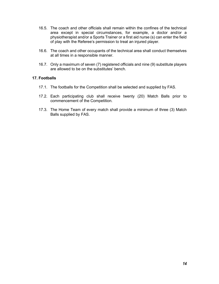- 16.5. The coach and other officials shall remain within the confines of the technical area except in special circumstances, for example, a doctor and/or a physiotherapist and/or a Sports Trainer or a first aid nurse (s) can enter the field of play with the Referee's permission to treat an injured player.
- 16.6. The coach and other occupants of the technical area shall conduct themselves at all times in a responsible manner.
- 16.7. Only a maximum of seven (7) registered officials and nine (9) substitute players are allowed to be on the substitutes' bench.

### **17. Footballs**

- 17.1. The footballs for the Competition shall be selected and supplied by FAS.
- 17.2. Each participating club shall receive twenty (20) Match Balls prior to commencement of the Competition.
- 17.3. The Home Team of every match shall provide a minimum of three (3) Match Balls supplied by FAS.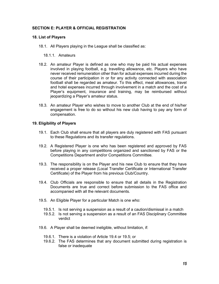# **SECTION E: PLAYER & OFFICIAL REGISTRATION**

### **18. List of Players**

18.1. All Players playing in the League shall be classified as:

### 18.1.1. Amateurs

- 18.2. An amateur Player is defined as one who may be paid his actual expenses involved in playing football, e.g. travelling allowance, etc. Players who have never received remuneration other than for actual expenses incurred during the course of their participation in or for any activity connected with association football shall be regarded as amateur. To this effect, meal allowances, travel and hotel expenses incurred through involvement in a match and the cost of a Player's equipment, insurance and training, may be reimbursed without jeopardizing a Player's amateur status.
- 18.3. An amateur Player who wishes to move to another Club at the end of his/her engagement is free to do so without his new club having to pay any form of compensation.

### **19. Eligibility of Players**

- 19.1. Each Club shall ensure that all players are duly registered with FAS pursuant to these Regulations and its transfer regulations.
- 19.2. A Registered Player is one who has been registered and approved by FAS before playing in any competitions organized and sanctioned by FAS or the Competitions Department and/or Competitions Committee.
- 19.3. The responsibility is on the Player and his new Club to ensure that they have received a proper release (Local Transfer Certificate or International Transfer Certificate) of the Player from his previous Club/Country.
- 19.4. Club Officials are responsible to ensure that all details in the Registration Documents are true and correct before submission to the FAS office and accompanied with all the relevant documents.
- 19.5. An Eligible Player for a particular Match is one who:
	- 19.5.1. Is not serving a suspension as a result of a caution/dismissal in a match
	- 19.5.2. Is not serving a suspension as a result of an FAS Disciplinary Committee verdict
- 19.6. A Player shall be deemed ineligible, without limitation, if:
	- 19.6.1. There is a violation of Article 19.4 or 19.5; or
	- 19.6.2. The FAS determines that any document submitted during registration is false or inadequate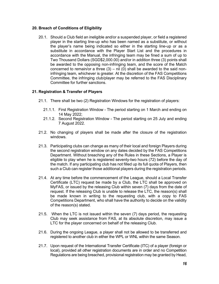# **20. Breach of Conditions of Eligibility**

20.1. Should a Club field an ineligible and/or a suspended player, or field a registered player in the starting line-up who has been named as a substitute, or without the player's name being indicated so either in the starting line-up or as a substitute in accordance with the Player Start List and the procedures in accordance with the Manual, the infringing team may be fined a sum of up to Two Thousand Dollars (SGD\$2,000.00) and/or in addition three (3) points shall be awarded to the opposing non-infringing team, and the score of the Match concerned to remain/or a three  $(3) - \text{nil}$   $(0)$  shall be awarded to the said noninfringing team, whichever is greater. At the discretion of the FAS Competitions Committee, the infringing club/player may be referred to the FAS Disciplinary Committee for further sanctions.

# **21. Registration & Transfer of Players**

- 21.1. There shall be two (2) Registration Windows for the registration of players:
	- 21.1.1. First Registration Window The period starting on 1 March and ending on 14 May 2022;
	- 21.1.2. Second Registration Window The period starting on 25 July and ending 7 August 2022.
- 21.2. No changing of players shall be made after the closure of the registration windows.
- 21.3. Participating clubs can change as many of their local and foreign Players during the second registration window on any dates decided by the FAS Competitions Department. Without breaching any of the Rules in these Sections, a Player is eligible to play when he is registered seventy-two hours (72) before the day of the match. If any participating club has not filled up its full quota of Players, then such a Club can register those additional players during the registration periods.
- 21.4. At any time before the commencement of the League, should a Local Transfer Certificate (LTC) request be made by a Club, the LTC shall be approved on MyFAS, or issued by the releasing Club within seven (7) days from the date of request. If the releasing Club is unable to release the LTC, the reason(s) shall be made known in writing to the requesting club, with a copy to FAS Competitions Department, who shall have the authority to decide on the validity of the reason(s) stated.
- 21.5. When the LTC is not issued within the seven (7) days period, the requesting Club may seek assistance from FAS, at its absolute discretion, may issue a LTC for the player concerned on behalf of the releasing Club.
- 21.6. During the ongoing League, a player shall not be allowed to be transferred and registered to another club in either the WPL or WNL within the same Season.
- 21.7. Upon request of the International Transfer Certificate (ITC) of a player (foreign or local), provided all other registration documents are in order and no Competition Regulations are being breached, provisional registration may be granted by Head,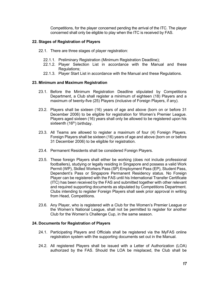Competitions, for the player concerned pending the arrival of the ITC. The player concerned shall only be eligible to play when the ITC is received by FAS.

# **22. Stages of Registration of Players**

- 22.1. There are three stages of player registration:
	- 22.1.1. Preliminary Registration (Minimum Registration Deadline);
	- 22.1.2. Player Selection List in accordance with the Manual and these Regulations;
	- 22.1.3. Player Start List in accordance with the Manual and these Regulations.

### **23. Minimum and Maximum Registration**

- 23.1. Before the Minimum Registration Deadline stipulated by Competitions Department, a Club shall register a minimum of eighteen (18) Players and a maximum of twenty-five (25) Players (inclusive of Foreign Players, if any).
- 23.2. Players shall be sixteen (16) years of age and above (born on or before 31 December 2006) to be eligible for registration for Women's Premier League. Players aged sixteen (16) years shall only be allowed to be registered upon his sixteenth  $(16<sup>th</sup>)$  birthday.
- 23.3. All Teams are allowed to register a maximum of four (4) Foreign Players. Foreign Players shall be sixteen (16) years of age and above (born on or before 31 December 2006) to be eligible for registration.
- 23.4. Permanent Residents shall be considered Foreign Players.
- 23.5. These foreign Players shall either be working (does not include professional footballers), studying or legally residing in Singapore and possess a valid Work Permit (WP), Skilled Workers Pass (SP) Employment Pass (EP), Student Pass, Dependent's Pass or Singapore Permanent Residency status. No Foreign Player can be registered with the FAS until his International Transfer Certificate (ITC) has been received by the FAS and submitted together with other relevant and required supporting documents as stipulated by Competitions Department. Clubs intending to register Foreign Players shall seek prior approval in writing from Head, Competitions.
- 23.6. Any Player, who is registered with a Club for the Women's Premier League or the Women's National League, shall not be permitted to register for another Club for the Women's Challenge Cup, in the same season.

# **24. Documents for Registration of Players**

- 24.1. Participating Players and Officials shall be registered via the MyFAS online registration system with the supporting documents set out in the Manual.
- 24.2. All registered Players shall be issued with a Letter of Authorization (LOA) authorized by the FAS. Should the LOA be misplaced, the Club shall be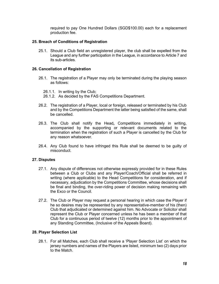required to pay One Hundred Dollars (SGD\$100.00) each for a replacement production fee.

# **25. Breach of Conditions of Registration**

25.1. Should a Club field an unregistered player, the club shall be expelled from the League and any further participation in the League, in accordance to Article 7 and its sub-articles.

# **26. Cancellation of Registration**

- 26.1. The registration of a Player may only be terminated during the playing season as follows:
	- 26.1.1. In writing by the Club;
	- 26.1.2. As decided by the FAS Competitions Department.
- 26.2. The registration of a Player, local or foreign, released or terminated by his Club and by the Competitions Department the latter being satisfied of the same, shall be cancelled.
- 26.3. The Club shall notify the Head**,** Competitions immediately in writing, accompanied by the supporting or relevant documents related to the termination when the registration of such a Player is cancelled by the Club for any reason whatsoever.
- 26.4. Any Club found to have infringed this Rule shall be deemed to be guilty of misconduct.

# **27. Disputes**

- 27.1. Any dispute of differences not otherwise expressly provided for in these Rules between a Club or Clubs and any Player/Coach/Official shall be referred in writing (where applicable) to the Head Competitions for consideration, and if necessary, adjudication by the Competitions Committee, whose decisions shall be final and binding, the over-riding power of decision making remaining with the Exco or the Council.
- 27.2. The Club or Player may request a personal hearing in which case the Player if he so desires may be represented by any representative-member of his (then) Club that adjudicated or determined against him. No Advocate or Solicitor shall represent the Club or Player concerned unless he has been a member of that Club for a continuous period of twelve (12) months prior to the appointment of any Standing Committee, (Inclusive of the Appeals Board).

# **28. Player Selection List**

28.1. For all Matches, each Club shall receive a 'Player Selection List' on which the jersey numbers and names of the Players are listed, minimum two (2) days prior to the Match.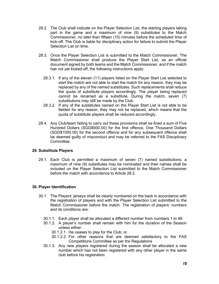- 28.2. The Club shall indicate on the Player Selection List, the starting players taking part in the game and a maximum of nine (9) substitutes to the Match Commissioner, no later than fifteen (15) minutes before the scheduled time of kick-off. The Club is liable for disciplinary action for failure to submit the Player Selection List on time.
- 28.3. Once the Player Selection List is submitted to the Match Commissioner, The Match Commissioner shall produce the Player Start List, as an official document signed by both teams and the Match Commissioner, and if the match has not yet kicked-off, the following instructions apply:
	- 28.3.1. If any of the eleven (11) players listed on the Player Start List selected to start the match are not able to start the match for any reason, they may be replaced by any of the named substitutes. Such replacements shall reduce the quota of substitute players accordingly. The player being replaced cannot be renamed as a substitute. During the match, seven (7) substitutions may still be made by the Club.
	- 28.3.2. If any of the substitutes named on the Player Start List is not able to be fielded for any reason, they may not be replaced, which means that the quota of substitute players shall be reduced accordingly.
- 28.4. Any Club/team failing to carry out these provisions shall be fined a sum of Five Hundred Dollars (SGD\$500.00) for the first offence, One Thousand Dollars (SGD\$1000.00) for the second offence and for any subsequent offence shall be deemed guilty of misconduct and may be referred to the FAS Disciplinary **Committee.**

# **29. Substitute Players**

29.1. Each Club is permitted a maximum of seven (7) named substitutions; a maximum of nine (9) substitutes may be nominated and their names shall be included on the Player Selection List submitted to the Match Commissioner before the match with accordance to Article 28.2.

# **30. Player Identification**

- 30.1. The Players' jerseys shall be clearly numbered on the back in accordance with the registration of players and with the Player Selection List submitted to the Match Commissioner before the match. The registration of players' numbers and its conditions are:
	- 30.1.1. Each player shall be allocated a different number from numbers 1 to 99.
	- 30.1.2. A player's number shall remain with him for the duration of the Season unless either:
		- 30.1.2.1. He ceases to play for the Club; or
		- 30.1.2.2. For other reasons that are deemed satisfactory to the FAS Competitions Committee as per the Regulations
	- 30.1.3. Any new players registered during the season shall be allocated a new number which has not been registered with any other player in the same club before his registration.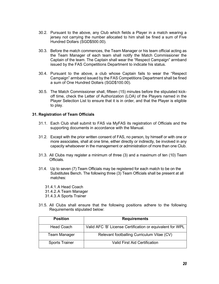- 30.2. Pursuant to the above, any Club which fields a Player in a match wearing a jersey not carrying the number allocated to him shall be fined a sum of Five Hundred Dollars (SGD\$500.00).
- 30.3. Before the match commences, the Team Manager or his team official acting as the Team Manager of each team shall notify the Match Commissioner the Captain of the team. The Captain shall wear the "Respect Campaign" armband issued by the FAS Competitions Department to indicate his status.
- 30.4. Pursuant to the above, a club whose Captain fails to wear the "Respect Campaign" armband issued by the FAS Competitions Department shall be fined a sum of One Hundred Dollars (SGD\$100.00).
- 30.5. The Match Commissioner shall, fifteen (15) minutes before the stipulated kickoff time, check the Letter of Authorization (LOA) of the Players named in the Player Selection List to ensure that it is in order, and that the Player is eligible to play.

### **31. Registration of Team Officials**

- 31.1. Each Club shall submit to FAS via MyFAS its registration of Officials and the supporting documents in accordance with the Manual.
- 31.2. Except with the prior written consent of FAS, no person, by himself or with one or more associates, shall at one time, either directly or indirectly, be involved in any capacity whatsoever in the management or administration of more than one Club.
- 31.3. All Clubs may register a minimum of three (3) and a maximum of ten (10) Team Officials.
- 31.4. Up to seven (7) Team Officials may be registered for each match to be on the Substitutes Bench. The following three (3) Team Officials shall be present at all matches:
	- 31.4.1.A Head Coach
	- 31.4.2.A Team Manager
	- 31.4.3.A Sports Trainer
- 31.5. All Clubs shall ensure that the following positions adhere to the following Requirements stipulated below:

| <b>Position</b>       | <b>Requirements</b>                                       |
|-----------------------|-----------------------------------------------------------|
| <b>Head Coach</b>     | Valid AFC 'B' License Certification or equivalent for WPL |
| <b>Team Manager</b>   | Relevant footballing Curriculum Vitae (CV)                |
| <b>Sports Trainer</b> | <b>Valid First Aid Certification</b>                      |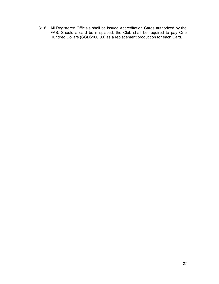31.6. All Registered Officials shall be issued Accreditation Cards authorized by the FAS. Should a card be misplaced, the Club shall be required to pay One Hundred Dollars (SGD\$100.00) as a replacement production for each Card.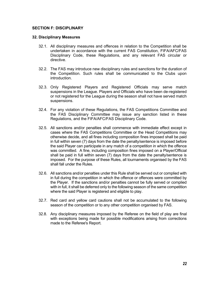### **SECTION F: DISCIPLINARY**

### **32. Disciplinary Measures**

- 32.1. All disciplinary measures and offences in relation to the Competition shall be undertaken in accordance with the current FAS Constitution, FIFA/AFC/FAS Disciplinary Code, these Regulations, and any relevant FAS circular or directive.
- 32.2. The FAS may introduce new disciplinary rules and sanctions for the duration of the Competition. Such rules shall be communicated to the Clubs upon introduction.
- 32.3. Only Registered Players and Registered Officials may serve match suspensions in the League. Players and Officials who have been de-registered or not registered for the League during the season shall not have served match suspensions.
- 32.4. For any violation of these Regulations, the FAS Competitions Committee and the FAS Disciplinary Committee may issue any sanction listed in these Regulations, and the FIFA/AFC/FAS Disciplinary Code.
- 32.5. All sanctions and/or penalties shall commence with immediate effect except in cases where the FAS Competitions Committee or the Head Competitions may otherwise decide, and all fines including composition fines imposed shall be paid in full within seven (7) days from the date the penalty/sentence is imposed before the said Player can participate in any match of a competition in which the offence was committed. A fine, including composition fines imposed on a Player/Official shall be paid in full within seven (7) days from the date the penalty/sentence is imposed. For the purpose of these Rules, all tournaments organised by the FAS shall fall under the Rules.
- 32.6. All sanctions and/or penalties under this Rule shall be served out or complied with in full during the competition in which the offence or offences were committed by the Player. If the sanctions and/or penalties cannot be fully served or complied with in full, it shall be deferred only to the following season of the same competition where the said Player is registered and eligible to play.
- 32.7. Red card and yellow card cautions shall not be accumulated to the following season of the competition or to any other competition organised by FAS.
- 32.8. Any disciplinary measures imposed by the Referee on the field of play are final with exceptions being made for possible modifications arising from corrections made to the Referee's Report.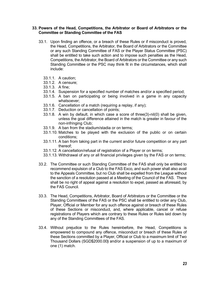### **33. Powers of the Head, Competitions, the Arbitrator or Board of Arbitrators or the Committee or Standing Committee of the FAS**

- 33.1. Upon finding an offence, or a breach of these Rules or if misconduct is proved, the Head, Competitions, the Arbitrator, the Board of Arbitrators or the Committee or any such Standing Committee of FAS or the Player Status Committee (PSC) shall be entitled to take such action and to impose such penalties as the Head, Competitions, the Arbitrator, the Board of Arbitrators or the Committee or any such Standing Committee or the PSC may think fit in the circumstances, which shall include:
	- 33.1.1. A caution;
	- 33.1.2. A censure;
	- 33.1.3. A fine;
	- 33.1.4. Suspension for a specified number of matches and/or a specified period;
	- 33.1.5. A ban on participating or being involved in a game in any capacity whatsoever;
	- 33.1.6. Cancellation of a match (requiring a replay, if any);
	- 33.1.7. Deduction or cancellation of points;
	- 33.1.8. A win by default, in which case a score of three(3)-nil(0) shall be given, unless the goal difference attained in the match is greater in favour of the non-infringing Club;
	- 33.1.9. A ban from the stadium/stadia or on terms;
	- 33.1.10. Matches to be played with the exclusion of the public or on certain conditions;
	- 33.1.11. A ban from taking part in the current and/or future competition or any part thereof;
	- 33.1.12. A cancellation/refusal of registration of a Player or on terms;
	- 33.1.13. Withdrawal of any or all financial privileges given by the FAS or on terms;
- 33.2. The Committee or such Standing Committee of the FAS shall only be entitled to recommend expulsion of a Club to the FAS Exco, and such power shall also avail to the Appeals Committee, but no Club shall be expelled from the League without the sanction of a resolution passed at a Meeting of the Council of the FAS. There shall be no right of appeal against a resolution to expel, passed as aforesaid, by the FAS Council.
- 33.3. The Head, Competitions, Arbitrator, Board of Arbitrators or the Committee or the Standing Committees of the FAS or the PSC shall be entitled to order any Club, Player, Official or Member for any such offence against or breach of these Rules of these Sections or misconduct, and, where applicable, cancel or refuse registrations of Players which are contrary to these Rules or Rules laid down by any of the Standing Committees of the FAS.
- 33.4. Without prejudice to the Rules hereinbefore, the Head, Competitions is empowered to compound any offence, misconduct or breach of these Rules of these Sections committed by a Player, Official or Club to a maximum limit of Two Thousand Dollars (SGD\$2000.00**)** and/or a suspension of up to a maximum of one (1) match.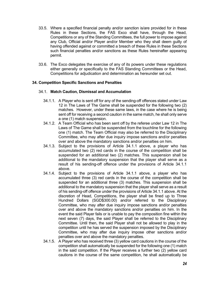- 33.5. Where a specified financial penalty and/or sanction is/are provided for in these Rules in these Sections, the FAS Exco shall have, through the Head, Competitions or any of the Standing Committees, the full power to impose against any Club, Official and/or Player and/or Member who they shall deem guilty of having offended against or committed a breach of these Rules in these Sections such financial penalties and/or sanctions as these Rules hereinafter appearing permit.
- 33.6. The Exco delegates the exercise of any of its powers under these regulations either generally or specifically to the FAS Standing Committees or the Head, Competitions for adjudication and determination as hereunder set out.

# **34. Competition Specific Sanctions and Penalties**

# 34.1. **Match Caution, Dismissal and Accumulation**

- 34.1.1. A Player who is sent off for any of the sending-off offences stated under Law 12 in The Laws of The Game shall be suspended for the following two (2) matches. However, under these same laws, in the case where he is being sent off for receiving a second caution in the same match, he shall only serve a one (1) match suspension.
- 34.1.2. A Team Official who has been sent off by the referee under Law 12 in The Laws of The Game shall be suspended from the touchline for the following one (1) match. The Team Official may also be referred to the Disciplinary Committee, who may after due inquiry impose sanctions and/or penalties over and above the mandatory sanctions and/or penalties on him.
- 34.1.3. Subject to the provisions of Article 34.1.1 above, a player who has accumulated two (2) red cards in the course of the competition shall be suspended for an additional two (2) matches. This suspension shall be additional to the mandatory suspension that the player shall serve as a result of his sending-off offence under the provisions of Article 34.1.1 above.
- 34.1.4. Subject to the provisions of Article 34.1.1 above, a player who has accumulated three (3) red cards in the course of the competition shall be suspended for an additional three (3) matches. This suspension shall be additional to the mandatory suspension that the player shall serve as a result of his sending-off offence under the provisions of Article 34.1.1 above. At the discretion of Head, Competitions, the player shall be fined up to Three Hundred Dollars (SGD\$300.00) and/or referred to the Disciplinary Committee, who may after due inquiry impose sanctions and/or penalties over and above the mandatory sanctions and/or penalties on him. In the event the said Player fails or is unable to pay the composition fine within the next seven (7) days, the said Player shall be referred to the Disciplinary Committee. Until then, the said Player shall not be allowed to play in the competition until he has served the suspension imposed by the Disciplinary Committee, who may after due inquiry impose other sanctions and/or penalties over and above the mandatory penalties.
- 34.1.5. A Player who has received three (3) yellow card cautions in the course of the competition shall automatically be suspended for the following one (1) match in the said competition. If the Player receives a further two (2) yellow card cautions in the course of the same competition, he shall automatically be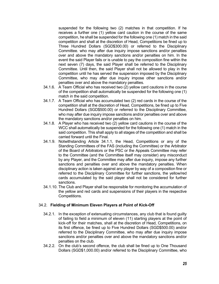suspended for the following two (2) matches in that competition. If he receives a further one (1) yellow card caution in the course of the same competition, he shall be suspended for the following one (1) match in the said competition and shall at the discretion of Head, Competitions be fined up to Three Hundred Dollars (SGD\$300.00) or referred to the Disciplinary Committee. who may after due inquiry impose sanctions and/or penalties over and above the mandatory sanctions and/or penalties on him. In the event the said Player fails or is unable to pay the composition fine within the next seven (7) days, the said Player shall be referred to the Disciplinary Committee. Until then, the said Player shall not be allowed to play in the competition until he has served the suspension imposed by the Disciplinary Committee, who may after due inquiry impose other sanctions and/or penalties over and above the mandatory penalties.

- 34.1.6. A Team Official who has received two (2) yellow card cautions in the course of the competition shall automatically be suspended for the following one (1) match in the said competition.
- 34.1.7. A Team Official who has accumulated two (2) red cards in the course of the competition shall at the discretion of Head, Competitions, be fined up to Five Hundred Dollars (SGD\$500.00) or referred to the Disciplinary Committee, who may after due inquiry impose sanctions and/or penalties over and above the mandatory sanctions and/or penalties on him.
- 34.1.8. A Player who has received two (2) yellow card cautions in the course of the WCC shall automatically be suspended for the following one (1) match in the said competition. This shall apply to all stages of the competition and shall be carried forward until the Final.
- 34.1.9. Notwithstanding Article 34.1.1, the Head, Competitions or any of the Standing Committees of the FAS (including the Committee) or the Arbitrator of the Board of Arbitrators or the PSC or the Appeals Committee may refer to the Committee (and the Committee itself may consider) any misconduct by any Player, and the Committee may after due inquiry, impose any further sanctions and penalties over and above the mandatory penalties. When disciplinary action is taken against any player by way of a composition fine or referred to the Disciplinary Committee for further sanctions, the yellow/red cards accumulated by the said player shall not be considered for further sanctions.
- 34.1.10. The Club and Player shall be responsible for monitoring the accumulation of the yellow and red cards and suspensions of their players in the respective Competitions.

# 34.2. **Fielding of Minimum Eleven Players at Point of Kick-Off**

- 34.2.1. In the exception of extenuating circumstances, any club that is found guilty of failing to field a minimum of eleven (11) starting players at the point of kick-off for their matches, shall at the discretion of Head, Competitions, on its first offence, be fined up to Five Hundred Dollars (SGD\$500.00) and/or referred to the Disciplinary Committee, who may after due inquiry impose sanctions and/or penalties over and above the mandatory sanctions and/or penalties on the club.
- 34.2.2. On the club's second offence, the club shall be fined up to One Thousand Dollars (SGD\$1,000.00) and/or referred to the Disciplinary Committee, who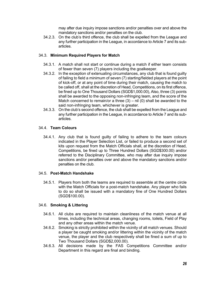may after due inquiry impose sanctions and/or penalties over and above the mandatory sanctions and/or penalties on the club.

34.2.3. On the club's third offence, the club shall be expelled from the League and any further participation in the League, in accordance to Article 7 and its subarticles.

# 34.3. **Minimum Required Players for Match**

- 34.3.1. A match shall not start or continue during a match if either team consists of fewer than seven (7) players including the goalkeeper.
- 34.3.2. In the exception of extenuating circumstances, any club that is found guilty of failing to field a minimum of seven (7) starting/fielded players at the point of kick-off, or at any point of time during their match, causing the match to be called off, shall at the discretion of Head, Competitions, on its first offence, be fined up to One Thousand Dollars (SGD\$1,000.00), Also, three (3) points shall be awarded to the opposing non-infringing team, and the score of the Match concerned to remain/or a three  $(3) - \text{nil}$  (0) shall be awarded to the said non-infringing team, whichever is greater.
- 34.3.3. On the club's second offence, the club shall be expelled from the League and any further participation in the League, in accordance to Article 7 and its subarticles.

# 34.4. **Team Colours**

34.4.1. Any club that is found guilty of failing to adhere to the team colours indicated in the Player Selection List, or failed to produce a second set of kits upon request from the Match Officials shall, at the discretion of Head, Competitions, be fined up to Three Hundred Dollars (SGD\$300.00) and/or referred to the Disciplinary Committee, who may after due inquiry impose sanctions and/or penalties over and above the mandatory sanctions and/or penalties on the club.

# 34.5. **Post-Match Handshake**

34.5.1. Players from both the teams are required to assemble at the centre circle with the Match Officials for a post-match handshake. Any player who fails to do so shall be issued with a mandatory fine of One Hundred Dollars (SGD\$100.00).

# 34.6. **Smoking & Littering**

- 34.6.1. All clubs are required to maintain cleanliness of the match venue at all times, including the technical areas, changing rooms, toilets, Field of Play and any other areas within the match venue.
- 34.6.2. Smoking is strictly prohibited within the vicinity of all match venues. Should a player be caught smoking and/or littering within the vicinity of the match venue, the player and the club respectively shall be fined a sum of up to Two Thousand Dollars (SGD\$2,000.00).
- 34.6.3. All decisions made by the FAS Competitions Committee and/or Department in this regard are final and binding.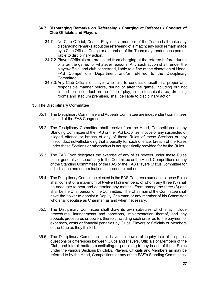### 34.7. **Disparaging Remarks on Refereeing / Charging at Referees / Conduct of Club Officials and Players**

- 34.7.1.No Club Official, Coach, Player or a member of the Team shall make any disparaging remarks about the refereeing of a match; any such remark made by a Club Official, Coach or a member of the Team may render such person liable to disciplinary action.
- 34.7.2.Players/Officials are prohibited from charging at the referee before, during or after the game, for whatever reasons. Any such action shall render the player/official and club concerned, liable to a fine at the discretion of Head, FAS Competitions Department and/or referred to the Disciplinary Committee.
- 34.7.3.Any Club Official or player who fails to conduct oneself in a proper and responsible manner before, during or after the game, including but not limited to misconduct on the field of play, in the technical area, dressing rooms and stadium premises, shall be liable to disciplinary action.

# **35. The Disciplinary Committee**

- 35.1. The Disciplinary Committee and Appeals Committee are independent committees elected at the FAS Congress.
- 35.2. The Disciplinary Committee shall receive from the Head, Competitions or any Standing Committee of the FAS or the FAS Exco itself notice of any suspected or alleged offence or breach of any of these Rules of these Sections or any misconduct notwithstanding that a penalty for such offence, breach of the Rules under these Sections or misconduct is not specifically provided for by the Rules.
- 35.3. The FAS Exco delegates the exercise of any of its powers under these Rules either generally or specifically to the Committee or the Head, Competitions or any of the Standing Committees of the FAS or the FAS Players Status Committee for adjudication and determination as hereunder set out.
- 35.4. The Disciplinary Committee elected in the FAS Congress pursuant to these Rules shall consist of a maximum of twelve (12) members, of whom any three (3) shall be adequate to hear and determine any matter. From among the three (3) one shall be the Chairperson of the Committee. The Chairman of the Committee shall have the power to appoint a Deputy Chairman or any member of his Committee who shall deputise as Chairman as and when necessary.
- 35.5. The Disciplinary Committee shall draw its own sub-rules which may include procedures, infringements and sanctions, implementation thereof, and any appeals procedures or powers thereof, including such order as to the payment of expenses, costs or financial penalties by Clubs, Players or Officials or Members of the Club as they think fit.
- 35.6. The Disciplinary Committee shall have the power of inquiry into all disputes, questions or differences between Clubs and Players, Officials or Members of the Club, and into all matters constituting or pertaining to any beach of these Rules under the various Sections by Clubs, Players, Officials and Members as may be referred to by the Head, Competitions or any of the FAS's Standing Committees,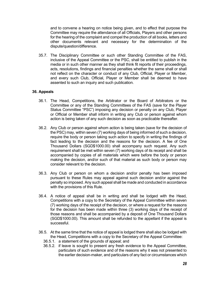and to convene a hearing on notice being given, and to effect that purpose the Committee may require the attendance of all Officials, Players and other persons for the hearing of the complaint and compel the production of all books, letters and other documents relevant and necessary for the determination of the dispute/question/difference.

35.7. The Disciplinary Committee or such other Standing Committee of the FAS, inclusive of the Appeal Committee or the PSC, shall be entitled to publish in the media or in such other manner as they shall think fit reports of their proceedings, acts, resolutions, findings and financial penalties whether the same shall or shall not reflect on the character or conduct of any Club, Official, Player or Member, and every such Club, Official, Player or Member shall be deemed to have assented to such an inquiry and such publication.

### **36. Appeals**

- 36.1. The Head, Competitions, the Arbitrator or the Board of Arbitrators or the Committee or any of the Standing Committees of the FAS (save for the Player Status Committee "PSC") imposing any decision or penalty on any Club, Player or Official or Member shall inform in writing any Club or person against whom action is being taken of any such decision as soon as practicable thereafter.
- 36.2. Any Club or person against whom action is being taken (save for the decision of the PSC) may, within seven (7) working days of being informed of such a decision, require the body or person taking such action to specify in writing the findings of fact leading to the decision and the reasons for the decision. A fee of One Thousand Dollars (SGD\$1000.00) shall accompany such request. Any such requirement shall be met within seven (7) working days of its receipt and shall be accompanied by copies of all materials which were before the body or person making the decision, and/or such of that material as such body or person may consider relevant to the decision.
- 36.3. Any Club or person on whom a decision and/or penalty has been imposed pursuant to these Rules may appeal against such decision and/or against the penalty so imposed. Any such appeal shall be made and conducted in accordance with the provisions of this Rule.
- 36.4. A notice of appeal shall be in writing and shall be lodged with the Head, Competitions with a copy to the Secretary of the Appeal Committee within seven (7) working days of the receipt of the decision, or where a request for the reasons for the decision has been made within three (3) working days of the receipt of those reasons and shall be accompanied by a deposit of One Thousand Dollars (SGD\$1000.00). This amount shall be refunded to the appellant if the appeal is successful.
- 36.5. At the same time that the notice of appeal is lodged there shall also be lodged with the Head, Competitions with a copy to the Secretary of the Appeal Committee:
	- 36.5.1. a statement of the grounds of appeal; and
	- 36.5.2. if leave is sought to present any fresh evidence to the Appeal Committee, particulars of such evidence and of the reasons why it was not presented to the earlier decision-maker, and particulars of any fact or circumstances which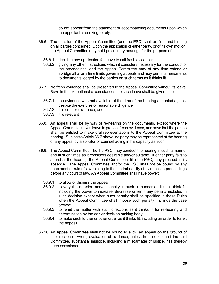do not appear from the statement or accompanying documents upon which the appellant is seeking to rely.

- 36.6. The decision of the Appeal Committee (and the PSC) shall be final and binding on all parties concerned. Upon the application of either party, or of its own motion, the Appeal Committee may hold-preliminary hearings for the purpose of:
	- 36.6.1. deciding any application for leave to call fresh evidence;
	- 36.6.2. giving any other instructions which it considers necessary for the conduct of the proceedings; and the Appeal Committee may at any time extend or abridge all or any time limits governing appeals and may permit amendments to documents lodged by the parties on such terms as it thinks fit.
- 36.7. No fresh evidence shall be presented to the Appeal Committee without its leave. Save in the exceptional circumstances, no such leave shall be given unless:
	- 36.7.1. the evidence was not available at the time of the hearing appealed against despite the exercise of reasonable diligence;
	- 36.7.2. it is credible evidence; and
	- 36.7.3. it is relevant.
- 36.8. An appeal shall be by way of re-hearing on the documents, except where the Appeal Committee gives leave to present fresh evidence, and save that the parties shall be entitled to make oral representations to the Appeal Committee at the hearing. Subject to Article 36.7 above, no party may be represented at the hearing of any appeal by a solicitor or counsel acting in his capacity as such.
- 36.9. The Appeal Committee, like the PSC, may conduct the hearing in such a manner and at such times as it considers desirable and/or suitable. If either party fails to attend at the hearing, the Appeal Committee, like the PSC, may proceed in its absence. The Appeal Committee and/or the PSC shall not be bound by any enactment or rule of law relating to the inadmissibility of evidence in proceedings before any court of law. An Appeal Committee shall have power:
	- 36.9.1. to allow or dismiss the appeal;
	- 36.9.2. to vary the decision and/or penalty in such a manner as it shall think fit, including the power to increase, decrease or remit any penalty included in such decision except when such penalty shall be specified in these Rules when the Appeal Committee shall impose such penalty if it finds the case proved;
	- 36.9.3. to remit the matter with such directions as it thinks fit for re-hearing and determination by the earlier decision making body;
	- 36.9.4. to make such further or other order as it thinks fit, including an order to forfeit the deposit.
- 36.10. An Appeal Committee shall not be bound to allow an appeal on the ground of misdirection or wrong evaluation of evidence, unless in the opinion of the said Committee, substantial injustice, including a miscarriage of justice, has thereby been occasioned.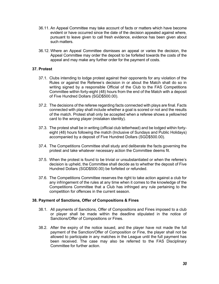- 36.11. An Appeal Committee may take account of facts or matters which have become evident or have occurred since the date of the decision appealed against where, pursuant to leave given to call fresh evidence, evidence has been given about such matters.
- 36.12. Where an Appeal Committee dismisses an appeal or varies the decision, the Appeal Committee may order the deposit to be forfeited towards the costs of the appeal and may make any further order for the payment of costs.

# **37. Protest**

- 37.1. Clubs intending to lodge protest against their opponents for any violation of the Rules or against the Referee's decision in or about the Match shall do so in writing signed by a responsible Official of the Club to the FAS Competitions Committee within forty-eight (48) hours from the end of the Match with a deposit of Five Hundred Dollars (SGD\$500.00).
- 37.2. The decisions of the referee regarding facts connected with plays are final. Facts connected with play shall include whether a goal is scored or not and the results of the match. Protest shall only be accepted when a referee shows a yellow/red card to the wrong player (mistaken identity).
- 37.3. The protest shall be in writing (official club letterhead) and be lodged within fortyeight (48) hours following the match (Inclusive of Sundays and Public Holidays) accompanied by a deposit of Five Hundred Dollars (SGD\$500.00).
- 37.4. The Competitions Committee shall study and deliberate the facts governing the protest and take whatever necessary action the Committee deems fit.
- 37.5. When the protest is found to be trivial or unsubstantiated or when the referee's decision is upheld, the Committee shall decide as to whether the deposit of Five Hundred Dollars (SGD\$500.00) be forfeited or refunded.
- 37.6. The Competitions Committee reserves the right to take action against a club for any infringement of the rules at any time when it comes to the knowledge of the Competitions Committee that a Club has infringed any rule pertaining to the competition for offences in the current season.

# **38. Payment of Sanctions, Offer of Compositions & Fines**

- 38.1. All payments of Sanctions, Offer of Compositions and Fines imposed to a club or player shall be made within the deadline stipulated in the notice of Sanctions/Offer of Compositions or Fines.
- 38.2. After the expiry of the notice issued, and the player have not made the full payment of the Sanction/Offer of Composition or Fine, the player shall not be allowed to participate in any matches in the League until the full payment has been received. The case may also be referred to the FAS Disciplinary Committee for further action.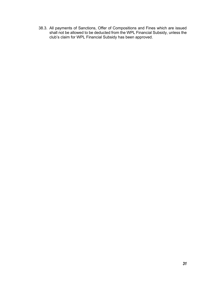38.3. All payments of Sanctions, Offer of Compositions and Fines which are issued shall not be allowed to be deducted from the WPL Financial Subsidy, unless the club's claim for WPL Financial Subsidy has been approved.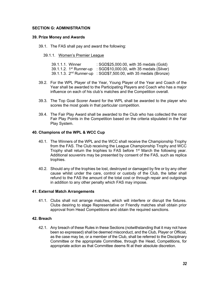# **SECTION G: ADMINISTRATION**

### **39. Prize Money and Awards**

- 39.1. The FAS shall pay and award the following:
	- 39.1.1. Women's Premier League

| 39.1.1.1. Winner | : SGD\$25,000.00, with 35 medals (Gold)                                       |
|------------------|-------------------------------------------------------------------------------|
|                  | 39.1.1.2. $1^{\text{st}}$ Runner-up : SGD\$10,000.00, with 35 medals (Silver) |
|                  | 39.1.1.3. $2nd$ Runner-up : SGD\$7,500.00, with 35 medals (Bronze)            |

- 39.2. For the WPL Player of the Year, Young Player of the Year and Coach of the Year shall be awarded to the Participating Players and Coach who has a major influence on each of his club's matches and the Competition overall.
- 39.3. The Top Goal Scorer Award for the WPL shall be awarded to the player who scores the most goals in that particular competition.
- 39.4. The Fair Play Award shall be awarded to the Club who has collected the most Fair Play Points in the Competition based on the criteria stipulated in the Fair Play System.

### **40. Champions of the WPL & WCC Cup**

- 40.1. The Winners of the WPL and the WCC shall receive the Championship Trophy from the FAS. The Club receiving the League Championship Trophy and WCC Trophy shall return the trophies to FAS before 1<sup>st</sup> March the following year. Additional souvenirs may be presented by consent of the FAS, such as replica trophies.
- 40.2. Should any of the trophies be lost, destroyed or damaged by fire or by any other cause whilst under the care, control or custody of the Club, the latter shall refund to the FAS the amount of the total cost or through repair and outgoings in addition to any other penalty which FAS may impose.

# **41. External Match Arrangements**

41.1. Clubs shall not arrange matches, which will interfere or disrupt the fixtures. Clubs desiring to stage Representative or Friendly matches shall obtain prior approval from Head Competitions and obtain the required sanctions.

# **42. Breach**

42.1. Any breach of these Rules in these Sections (notwithstanding that it may not have been so expressed) shall be deemed misconduct, and the Club, Player or Official, as the case may be, or a member of the Club, shall be referred to the Disciplinary Committee or the appropriate Committee, through the Head, Competitions, for appropriate action as that Committee deems fit at their absolute discretion.